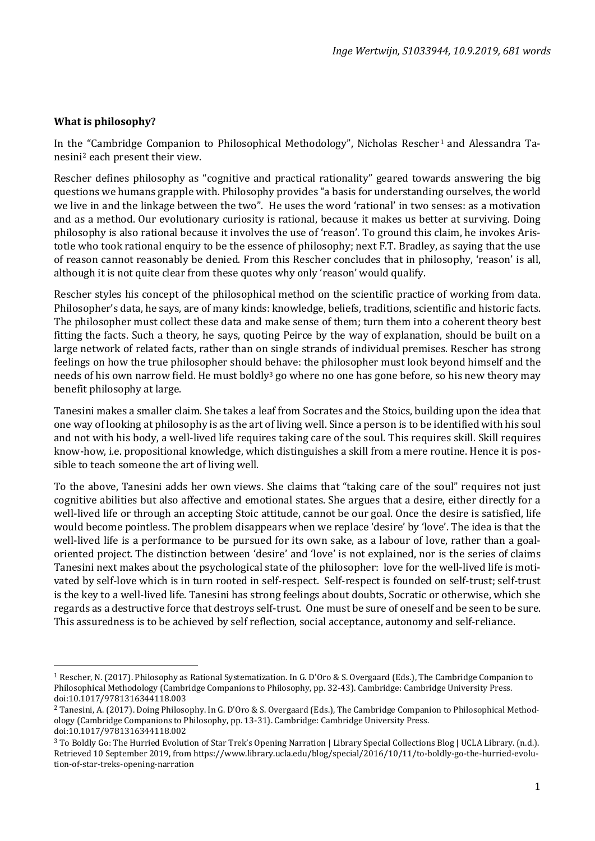## **What is philosophy?**

In the "Cambridge Companion to Philosophical Methodology", Nicholas Rescher<sup>[1](#page-0-0)</sup> and Alessandra Tanesini[2](#page-0-1) each present their view.

Rescher defines philosophy as "cognitive and practical rationality" geared towards answering the big questions we humans grapple with. Philosophy provides "a basis for understanding ourselves, the world we live in and the linkage between the two". He uses the word 'rational' in two senses: as a motivation and as a method. Our evolutionary curiosity is rational, because it makes us better at surviving. Doing philosophy is also rational because it involves the use of 'reason'. To ground this claim, he invokes Aristotle who took rational enquiry to be the essence of philosophy; next F.T. Bradley, as saying that the use of reason cannot reasonably be denied. From this Rescher concludes that in philosophy, 'reason' is all, although it is not quite clear from these quotes why only 'reason' would qualify.

Rescher styles his concept of the philosophical method on the scientific practice of working from data. Philosopher's data, he says, are of many kinds: knowledge, beliefs, traditions, scientific and historic facts. The philosopher must collect these data and make sense of them; turn them into a coherent theory best fitting the facts. Such a theory, he says, quoting Peirce by the way of explanation, should be built on a large network of related facts, rather than on single strands of individual premises. Rescher has strong feelings on how the true philosopher should behave: the philosopher must look beyond himself and the needs of his own narrow field. He must boldly<sup>[3](#page-0-2)</sup> go where no one has gone before, so his new theory may benefit philosophy at large.

Tanesini makes a smaller claim. She takes a leaf from Socrates and the Stoics, building upon the idea that one way of looking at philosophy is as the art of living well. Since a person is to be identified with his soul and not with his body, a well-lived life requires taking care of the soul. This requires skill. Skill requires know-how, i.e. propositional knowledge, which distinguishes a skill from a mere routine. Hence it is possible to teach someone the art of living well.

To the above, Tanesini adds her own views. She claims that "taking care of the soul" requires not just cognitive abilities but also affective and emotional states. She argues that a desire, either directly for a well-lived life or through an accepting Stoic attitude, cannot be our goal. Once the desire is satisfied, life would become pointless. The problem disappears when we replace 'desire' by 'love'. The idea is that the well-lived life is a performance to be pursued for its own sake, as a labour of love, rather than a goaloriented project. The distinction between 'desire' and 'love' is not explained, nor is the series of claims Tanesini next makes about the psychological state of the philosopher: love for the well-lived life is motivated by self-love which is in turn rooted in self-respect. Self-respect is founded on self-trust; self-trust is the key to a well-lived life. Tanesini has strong feelings about doubts, Socratic or otherwise, which she regards as a destructive force that destroys self-trust. One must be sure of oneself and be seen to be sure. This assuredness is to be achieved by self reflection, social acceptance, autonomy and self-reliance.

<span id="page-0-0"></span><sup>1</sup> Rescher, N. (2017). Philosophy as Rational Systematization. In G. D'Oro & S. Overgaard (Eds.), The Cambridge Companion to Philosophical Methodology (Cambridge Companions to Philosophy, pp. 32-43). Cambridge: Cambridge University Press. doi:10.1017/9781316344118.003

<span id="page-0-1"></span><sup>2</sup> Tanesini, A. (2017). Doing Philosophy. In G. D'Oro & S. Overgaard (Eds.), The Cambridge Companion to Philosophical Methodology (Cambridge Companions to Philosophy, pp. 13-31). Cambridge: Cambridge University Press. doi:10.1017/9781316344118.002

<span id="page-0-2"></span><sup>3</sup> To Boldly Go: The Hurried Evolution of Star Trek's Opening Narration | Library Special Collections Blog | UCLA Library. (n.d.). Retrieved 10 September 2019, from https://www.library.ucla.edu/blog/special/2016/10/11/to-boldly-go-the-hurried-evolution-of-star-treks-opening-narration